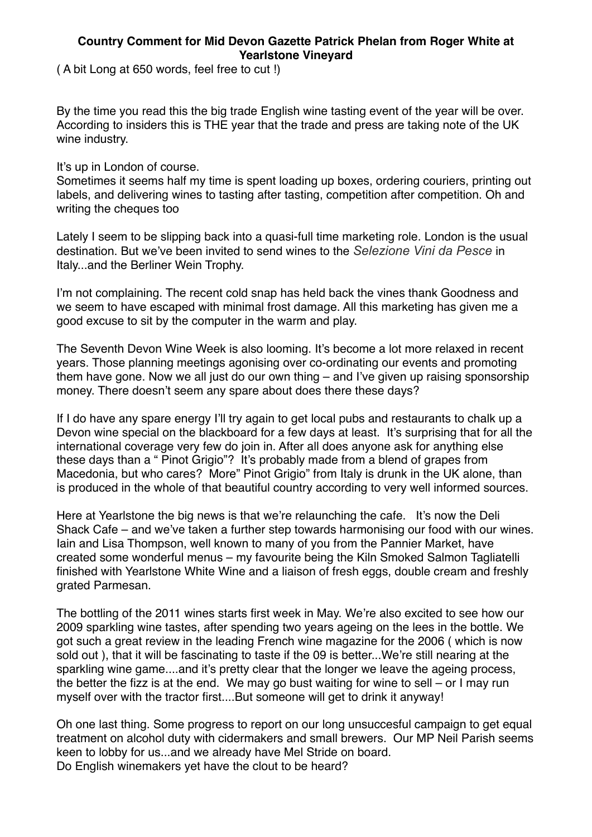## **Country Comment for Mid Devon Gazette Patrick Phelan from Roger White at Yearlstone Vineyard**

( A bit Long at 650 words, feel free to cut !)

By the time you read this the big trade English wine tasting event of the year will be over. According to insiders this is THE year that the trade and press are taking note of the UK wine industry.

It's up in London of course.

Sometimes it seems half my time is spent loading up boxes, ordering couriers, printing out labels, and delivering wines to tasting after tasting, competition after competition. Oh and writing the cheques too

Lately I seem to be slipping back into a quasi-full time marketing role. London is the usual destination. But we've been invited to send wines to the *Selezione Vini da Pesce* in Italy...and the Berliner Wein Trophy.

I'm not complaining. The recent cold snap has held back the vines thank Goodness and we seem to have escaped with minimal frost damage. All this marketing has given me a good excuse to sit by the computer in the warm and play.

The Seventh Devon Wine Week is also looming. It's become a lot more relaxed in recent years. Those planning meetings agonising over co-ordinating our events and promoting them have gone. Now we all just do our own thing – and I've given up raising sponsorship money. There doesn't seem any spare about does there these days?

If I do have any spare energy I'll try again to get local pubs and restaurants to chalk up a Devon wine special on the blackboard for a few days at least. It's surprising that for all the international coverage very few do join in. After all does anyone ask for anything else these days than a " Pinot Grigio"? It's probably made from a blend of grapes from Macedonia, but who cares? More" Pinot Grigio" from Italy is drunk in the UK alone, than is produced in the whole of that beautiful country according to very well informed sources.

Here at Yearlstone the big news is that we're relaunching the cafe. It's now the Deli Shack Cafe – and we've taken a further step towards harmonising our food with our wines. Iain and Lisa Thompson, well known to many of you from the Pannier Market, have created some wonderful menus – my favourite being the Kiln Smoked Salmon Tagliatelli finished with Yearlstone White Wine and a liaison of fresh eggs, double cream and freshly grated Parmesan.

The bottling of the 2011 wines starts first week in May. We're also excited to see how our 2009 sparkling wine tastes, after spending two years ageing on the lees in the bottle. We got such a great review in the leading French wine magazine for the 2006 ( which is now sold out ), that it will be fascinating to taste if the 09 is better...We're still nearing at the sparkling wine game....and it's pretty clear that the longer we leave the ageing process, the better the fizz is at the end. We may go bust waiting for wine to sell – or I may run myself over with the tractor first....But someone will get to drink it anyway!

Oh one last thing. Some progress to report on our long unsuccesful campaign to get equal treatment on alcohol duty with cidermakers and small brewers. Our MP Neil Parish seems keen to lobby for us...and we already have Mel Stride on board. Do English winemakers yet have the clout to be heard?